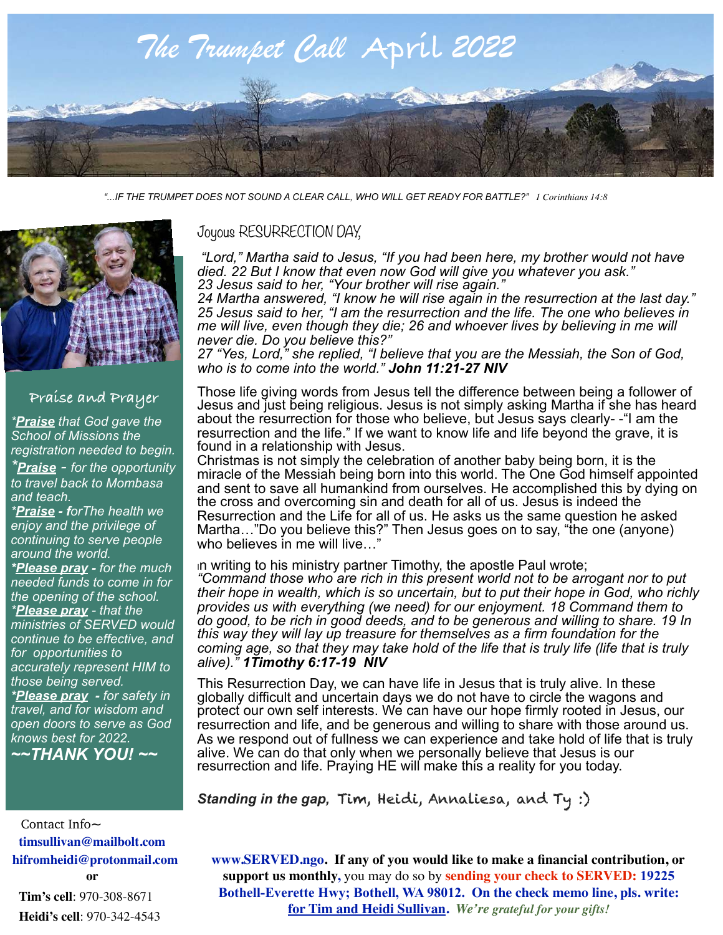

*"...IF THE TRUMPET DOES NOT SOUND A CLEAR CALL, WHO WILL GET READY FOR BATTLE?" 1 Corinthians 14:8*



## **Praise and Prayer**

*\*Praise that God gave the School of Missions the registration needed to begin. \*Praise - for the opportunity to travel back to Mombasa and teach.* 

*\*Praise - forThe health we enjoy and the privilege of continuing to serve people around the world.* 

*\*Please pray - for the much needed funds to come in for the opening of the school. \*Please pray - that the ministries of SERVED would continue to be effective, and for opportunities to accurately represent HIM to those being served. \*Please pray - for safety in travel, and for wisdom and open doors to serve as God knows best for 2022. ~~THANK YOU! ~~* 

## Joyous RESURRECTION DAY,

 *"Lord," Martha said to Jesus, "If you had been here, my brother would not have died. 22 But I know that even now God will give you whatever you ask." 23 Jesus said to her, "Your brother will rise again."* 

*24 Martha answered, "I know he will rise again in the resurrection at the last day." 25 Jesus said to her, "I am the resurrection and the life. The one who believes in me will live, even though they die; 26 and whoever lives by believing in me will never die. Do you believe this?"* 

*27 "Yes, Lord," she replied, "I believe that you are the Messiah, the Son of God, who is to come into the world." John 11:21-27 NIV*

Those life giving words from Jesus tell the difference between being a follower of Jesus and just being religious. Jesus is not simply asking Martha if she has heard about the resurrection for those who believe, but Jesus says clearly- -"I am the resurrection and the life." If we want to know life and life beyond the grave, it is found in a relationship with Jesus.

Christmas is not simply the celebration of another baby being born, it is the miracle of the Messiah being born into this world. The One God himself appointed and sent to save all humankind from ourselves. He accomplished this by dying on the cross and overcoming sin and death for all of us. Jesus is indeed the Resurrection and the Life for all of us. He asks us the same question he asked Martha…"Do you believe this?" Then Jesus goes on to say, "the one (anyone) who believes in me will live...

<sup>I</sup>n writing to his ministry partner Timothy, the apostle Paul wrote; *"Command those who are rich in this present world not to be arrogant nor to put their hope in wealth, which is so uncertain, but to put their hope in God, who richly provides us with everything (we need) for our enjoyment. 18 Command them to do good, to be rich in good deeds, and to be generous and willing to share. 19 In this way they will lay up treasure for themselves as a firm foundation for the coming age, so that they may take hold of the life that is truly life (life that is truly alive)." 1Timothy 6:17-19 NIV*

This Resurrection Day, we can have life in Jesus that is truly alive. In these globally difficult and uncertain days we do not have to circle the wagons and protect our own self interests. We can have our hope firmly rooted in Jesus, our resurrection and life, and be generous and willing to share with those around us. As we respond out of fullness we can experience and take hold of life that is truly alive. We can do that only when we personally believe that Jesus is our resurrection and life. Praying HE will make this a reality for you today.

*Standing in the gap,* Tim, Heidi, Annaliesa, and Ty :)

 Contact Info**~ timsullivan@mailbolt.com hifromheidi@protonmail.com** 

**or Tim's cell**: 970-308-8671 **Heidi's cell**: 970-342-4543 **www.SERVED.ngo. If any of you would like to make a financial contribution, or support us monthly,** you may do so by **sending your check to SERVED: 19225 Bothell-Everette Hwy; Bothell, WA 98012. On the check memo line, pls. write: for Tim and Heidi Sullivan.** *We're grateful for your gifts!*